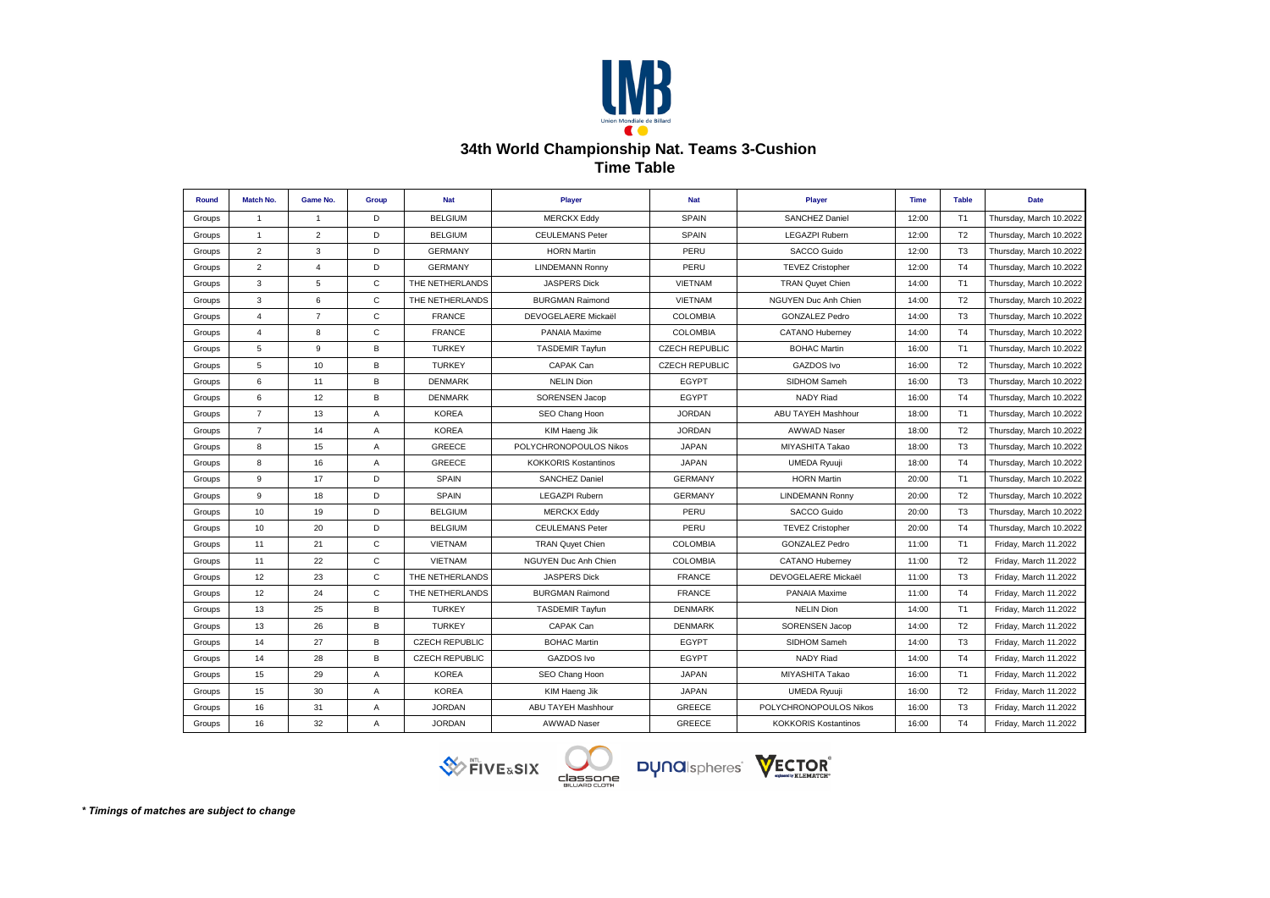

## **34th World Championship Nat. Teams 3-Cushion Time Table**

| Round  | Match No.      | Game No.       | Group          | <b>Nat</b>            | Player                      | <b>Nat</b>            | <b>Player</b>               | <b>Time</b> | <b>Table</b>   | <b>Date</b>             |
|--------|----------------|----------------|----------------|-----------------------|-----------------------------|-----------------------|-----------------------------|-------------|----------------|-------------------------|
| Groups | $\overline{1}$ | $\overline{1}$ | D              | <b>BELGIUM</b>        | <b>MERCKX Eddy</b>          | <b>SPAIN</b>          | <b>SANCHEZ Daniel</b>       | 12:00       | T1             | Thursday, March 10.2022 |
| Groups | $\mathbf{1}$   | $\overline{2}$ | D              | <b>BELGIUM</b>        | <b>CEULEMANS Peter</b>      | <b>SPAIN</b>          | <b>LEGAZPI Rubern</b>       | 12:00       | T <sub>2</sub> | Thursday, March 10.2022 |
| Groups | $\overline{2}$ | 3              | D              | <b>GERMANY</b>        | <b>HORN Martin</b>          | PERU                  | SACCO Guido                 | 12:00       | T <sub>3</sub> | Thursday, March 10.2022 |
| Groups | $\overline{2}$ | $\overline{4}$ | D              | <b>GERMANY</b>        | <b>LINDEMANN Ronny</b>      | PERU                  | <b>TEVEZ Cristopher</b>     | 12:00       | T <sub>4</sub> | Thursday, March 10.2022 |
| Groups | 3              | 5              | $\mathsf{C}$   | THE NETHERLANDS       | <b>JASPERS Dick</b>         | <b>VIETNAM</b>        | <b>TRAN Quyet Chien</b>     | 14:00       | T1             | Thursday, March 10.2022 |
| Groups | 3              | 6              | C              | THE NETHERLANDS       | <b>BURGMAN Raimond</b>      | VIETNAM               | NGUYEN Duc Anh Chien        | 14:00       | T <sub>2</sub> | Thursday, March 10.2022 |
| Groups | $\overline{4}$ | $\overline{7}$ | $\mathsf{C}$   | <b>FRANCE</b>         | DEVOGELAERE Mickaël         | <b>COLOMBIA</b>       | <b>GONZALEZ Pedro</b>       | 14:00       | T <sub>3</sub> | Thursday, March 10.2022 |
| Groups | $\overline{4}$ | 8              | $\mathsf{C}$   | <b>FRANCE</b>         | PANAIA Maxime               | <b>COLOMBIA</b>       | <b>CATANO Huberney</b>      | 14:00       | T <sub>4</sub> | Thursday, March 10.2022 |
| Groups | 5              | 9              | B              | <b>TURKEY</b>         | <b>TASDEMIR Tayfun</b>      | <b>CZECH REPUBLIC</b> | <b>BOHAC Martin</b>         | 16:00       | T <sub>1</sub> | Thursday, March 10.2022 |
| Groups | 5              | 10             | В              | <b>TURKEY</b>         | CAPAK Can                   | <b>CZECH REPUBLIC</b> | <b>GAZDOS Ivo</b>           | 16:00       | T <sub>2</sub> | Thursday, March 10.2022 |
| Groups | 6              | 11             | B              | <b>DENMARK</b>        | <b>NELIN Dion</b>           | <b>EGYPT</b>          | SIDHOM Sameh                | 16:00       | T <sub>3</sub> | Thursday, March 10.2022 |
| Groups | 6              | 12             | B              | <b>DENMARK</b>        | <b>SORENSEN Jacop</b>       | <b>EGYPT</b>          | <b>NADY Riad</b>            | 16:00       | T <sub>4</sub> | Thursday, March 10.2022 |
| Groups | $\overline{7}$ | 13             | Α              | <b>KOREA</b>          | SEO Chang Hoon              | <b>JORDAN</b>         | ABU TAYEH Mashhour          | 18:00       | T <sub>1</sub> | Thursday, March 10.2022 |
| Groups | $\overline{7}$ | 14             | $\overline{A}$ | <b>KOREA</b>          | KIM Haeng Jik               | <b>JORDAN</b>         | <b>AWWAD Naser</b>          | 18:00       | T <sub>2</sub> | Thursday, March 10.2022 |
| Groups | 8              | 15             | $\overline{A}$ | <b>GREECE</b>         | POLYCHRONOPOULOS Nikos      | <b>JAPAN</b>          | MIYASHITA Takao             | 18:00       | T <sub>3</sub> | Thursday, March 10.2022 |
| Groups | 8              | 16             | Α              | GREECE                | <b>KOKKORIS Kostantinos</b> | <b>JAPAN</b>          | <b>UMEDA Ryuuji</b>         | 18:00       | T <sub>4</sub> | Thursday, March 10.2022 |
| Groups | 9              | 17             | D              | <b>SPAIN</b>          | <b>SANCHEZ Daniel</b>       | <b>GERMANY</b>        | <b>HORN Martin</b>          | 20:00       | T1             | Thursday, March 10.2022 |
| Groups | 9              | 18             | D              | <b>SPAIN</b>          | <b>LEGAZPI Rubern</b>       | <b>GERMANY</b>        | <b>LINDEMANN Ronny</b>      | 20:00       | T <sub>2</sub> | Thursday, March 10.2022 |
| Groups | 10             | 19             | D              | <b>BELGIUM</b>        | <b>MERCKX Eddy</b>          | PERU                  | SACCO Guido                 | 20:00       | T <sub>3</sub> | Thursday, March 10.2022 |
| Groups | 10             | 20             | D              | <b>BELGIUM</b>        | <b>CEULEMANS Peter</b>      | PERU                  | <b>TEVEZ Cristopher</b>     | 20:00       | T <sub>4</sub> | Thursday, March 10.2022 |
| Groups | 11             | 21             | $\mathsf{C}$   | <b>VIETNAM</b>        | <b>TRAN Quyet Chien</b>     | <b>COLOMBIA</b>       | <b>GONZALEZ Pedro</b>       | 11:00       | T1             | Friday, March 11.2022   |
| Groups | 11             | 22             | C              | <b>VIETNAM</b>        | NGUYEN Duc Anh Chien        | <b>COLOMBIA</b>       | <b>CATANO Huberney</b>      | 11:00       | T <sub>2</sub> | Friday, March 11.2022   |
| Groups | 12             | 23             | $\mathsf{C}$   | THE NETHERLANDS       | <b>JASPERS Dick</b>         | <b>FRANCE</b>         | DEVOGELAERE Mickaël         | 11:00       | T <sub>3</sub> | Friday, March 11.2022   |
| Groups | 12             | 24             | $\mathsf{C}$   | THE NETHERLANDS       | <b>BURGMAN Raimond</b>      | <b>FRANCE</b>         | PANAIA Maxime               | 11:00       | T <sub>4</sub> | Friday, March 11.2022   |
| Groups | 13             | 25             | B              | <b>TURKEY</b>         | <b>TASDEMIR Tayfun</b>      | <b>DENMARK</b>        | <b>NELIN Dion</b>           | 14:00       | T1             | Friday, March 11.2022   |
| Groups | 13             | 26             | В              | <b>TURKEY</b>         | CAPAK Can                   | <b>DENMARK</b>        | SORENSEN Jacop              | 14:00       | T <sub>2</sub> | Friday, March 11.2022   |
| Groups | 14             | 27             | В              | <b>CZECH REPUBLIC</b> | <b>BOHAC Martin</b>         | <b>EGYPT</b>          | SIDHOM Sameh                | 14:00       | T <sub>3</sub> | Friday, March 11.2022   |
| Groups | 14             | 28             | В              | <b>CZECH REPUBLIC</b> | GAZDOS Ivo                  | <b>EGYPT</b>          | NADY Riad                   | 14:00       | T <sub>4</sub> | Friday, March 11.2022   |
| Groups | 15             | 29             | Α              | <b>KOREA</b>          | SEO Chang Hoon              | <b>JAPAN</b>          | MIYASHITA Takao             | 16:00       | T <sub>1</sub> | Friday, March 11.2022   |
| Groups | 15             | 30             | Α              | <b>KOREA</b>          | KIM Haeng Jik               | <b>JAPAN</b>          | UMEDA Ryuuji                | 16:00       | T <sub>2</sub> | Friday, March 11.2022   |
| Groups | 16             | 31             | Α              | <b>JORDAN</b>         | <b>ABU TAYEH Mashhour</b>   | GREECE                | POLYCHRONOPOULOS Nikos      | 16:00       | T <sub>3</sub> | Friday, March 11.2022   |
| Groups | 16             | 32             | Α              | <b>JORDAN</b>         | <b>AWWAD Naser</b>          | <b>GREECE</b>         | <b>KOKKORIS Kostantinos</b> | 16:00       | T4             | Friday, March 11.2022   |